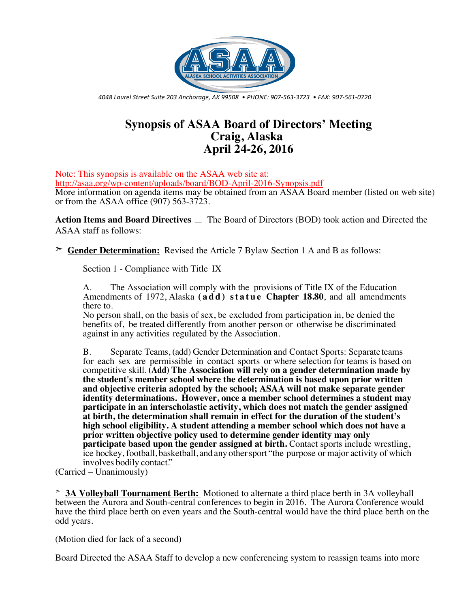

*4048 Laurel Street Suite 203 Anchorage, AK 99508 • PHONE: 907-563-3723 • FAX: 907-561-0720*

# **Synopsis of ASAA Board of Directors' Meeting Craig, Alaska April 24-26, 2016**

Note: This synopsis is available on the ASAA web site at: http://asaa.org/wp-content/uploads/board/BOD-April-2016-Synopsis.pdf More information on agenda items may be obtained from an ASAA Board member (listed on web site)

or from the ASAA office (907) 563-3723.

**Action Items and Board Directives** — The Board of Directors (BOD) took action and Directed the ASAA staff as follows:

➣ **Gender Determination:** Revised the Article 7 Bylaw Section 1 A and B as follows:

Section 1 - Compliance with Title IX

A. The Association will comply with the provisions of Title IX of the Education Amendments of 1972, Alaska **(add) statue Chapter 18.80**, and all amendments there to.

No person shall, on the basis of sex, be excluded from participation in, be denied the benefits of, be treated differently from another person or otherwise be discriminated against in any activities regulated by the Association.

B. Separate Teams, (add) Gender Determination and Contact Sports: Separate teams for each sex are permissible in contact sports or where selection for teams is based on competitive skill. **(Add) The Association will rely on a gender determination made by the student's member school where the determination is based upon prior written and objective criteria adopted by the school; ASAA will not make separate gender identity determinations. However, once a member school determines a student may participate in an interscholastic activity, which does not match the gender assigned at birth, the determination shall remain in effect for the duration of the student's high school eligibility. A student attending a member school which does not have a prior written objective policy used to determine gender identity may only participate based upon the gender assigned at birth.** Contact sports include wrestling, ice hockey, football, basketball, and any othersport "the purpose or major activity of which involves bodily contact."

(Carried – Unanimously)

➣ **3A Volleyball Tournament Berth:** Motioned to alternate a third place berth in 3A volleyball between the Aurora and South-central conferences to begin in 2016. The Aurora Conference would have the third place berth on even years and the South-central would have the third place berth on the odd years.

(Motion died for lack of a second)

Board Directed the ASAA Staff to develop a new conferencing system to reassign teams into more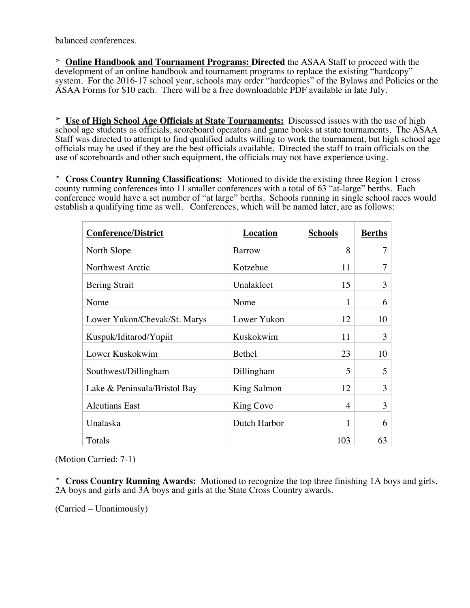balanced conferences.

➣ **Online Handbook and Tournament Programs: Directed** the ASAA Staff to proceed with the development of an online handbook and tournament programs to replace the existing "hardcopy" system. For the 2016-17 school year, schools may order "hardcopies" of the Bylaws and Policies or the ASAA Forms for \$10 each. There will be a free downloadable PDF available in late July.

➣ **Use of High School Age Officials at State Tournaments:** Discussed issues with the use of high school age students as officials, scoreboard operators and game books at state tournaments. The ASAA Staff was directed to attempt to find qualified adults willing to work the tournament, but high school age officials may be used if they are the best officials available. Directed the staff to train officials on the use of scoreboards and other such equipment, the officials may not have experience using.

➣ **Cross Country Running Classifications:** Motioned to divide the existing three Region 1 cross county running conferences into 11 smaller conferences with a total of 63 "at-large" berths. Each conference would have a set number of "at large" berths. Schools running in single school races would establish a qualifying time as well. Conferences, which will be named later, are as follows:

| <b>Conference/District</b>   | <b>Location</b>    | <b>Schools</b> | <b>Berths</b> |
|------------------------------|--------------------|----------------|---------------|
| North Slope                  | <b>Barrow</b>      | 8              | 7             |
| Northwest Arctic             | Kotzebue           | 11             | 7             |
| <b>Bering Strait</b>         | Unalakleet         | 15             | 3             |
| Nome                         | Nome               | 1              | 6             |
| Lower Yukon/Chevak/St. Marys | Lower Yukon        | 12             | 10            |
| Kuspuk/Iditarod/Yupiit       | Kuskokwim          | 11             | 3             |
| Lower Kuskokwim              | <b>Bethel</b>      | 23             | 10            |
| Southwest/Dillingham         | Dillingham         | 5              | 5             |
| Lake & Peninsula/Bristol Bay | <b>King Salmon</b> | 12             | 3             |
| <b>Aleutians East</b>        | King Cove          | 4              | 3             |
| Unalaska                     | Dutch Harbor       | 1              | 6             |
| Totals                       |                    | 103            | 63            |

(Motion Carried: 7-1)

➣ **Cross Country Running Awards:** Motioned to recognize the top three finishing 1A boys and girls, 2A boys and girls and 3A boys and girls at the State Cross Country awards.

(Carried – Unanimously)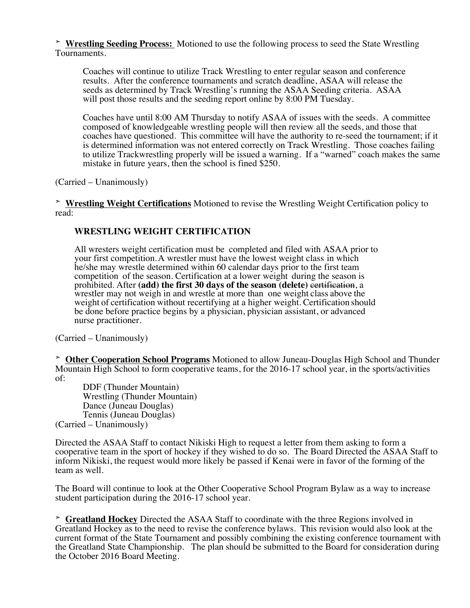➣ **Wrestling Seeding Process:** Motioned to use the following process to seed the State Wrestling Tournaments.

Coaches will continue to utilize Track Wrestling to enter regular season and conference results. After the conference tournaments and scratch deadline, ASAA will release the seeds as determined by Track Wrestling's running the ASAA Seeding criteria. ASAA will post those results and the seeding report online by 8:00 PM Tuesday.

Coaches have until 8:00 AM Thursday to notify ASAA of issues with the seeds. A committee composed of knowledgeable wrestling people will then review all the seeds, and those that coaches have questioned. This committee will have the authority to re-seed the tournament; if it is determined information was not entered correctly on Track Wrestling. Those coaches failing to utilize Trackwrestling properly will be issued a warning. If a "warned" coach makes the same mistake in future years, then the school is fined \$250.

(Carried – Unanimously)

➣ **Wrestling Weight Certifications** Motioned to revise the Wrestling Weight Certification policy to read:

### **WRESTLING WEIGHT CERTIFICATION**

All wresters weight certification must be completed and filed with ASAA prior to your first competition.A wrestler must have the lowest weight class in which he/she may wrestle determined within 60 calendar days prior to the first team competition of the season. Certification at a lower weight during the season is prohibited. After (add) the first 30 days of the season (delete) certification, a wrestler may not weigh in and wrestle at more than one weight class above the weight of certification without recertifying at a higher weight. Certification should be done before practice begins by a physician, physician assistant, or advanced nurse practitioner.

(Carried – Unanimously)

➣ **Other Cooperation School Programs** Motioned to allow Juneau-Douglas High School and Thunder Mountain High School to form cooperative teams, for the 2016-17 school year, in the sports/activities of:

DDF (Thunder Mountain) Wrestling (Thunder Mountain) Dance (Juneau Douglas) Tennis (Juneau Douglas) (Carried – Unanimously)

Directed the ASAA Staff to contact Nikiski High to request a letter from them asking to form a cooperative team in the sport of hockey if they wished to do so. The Board Directed the ASAA Staff to inform Nikiski, the request would more likely be passed if Kenai were in favor of the forming of the team as well.

The Board will continue to look at the Other Cooperative School Program Bylaw as a way to increase student participation during the 2016-17 school year.

➣ **Greatland Hockey** Directed the ASAA Staff to coordinate with the three Regions involved in Greatland Hockey as to the need to revise the conference bylaws. This revision would also look at the current format of the State Tournament and possibly combining the existing conference tournament with the Greatland State Championship. The plan should be submitted to the Board for consideration during the October 2016 Board Meeting.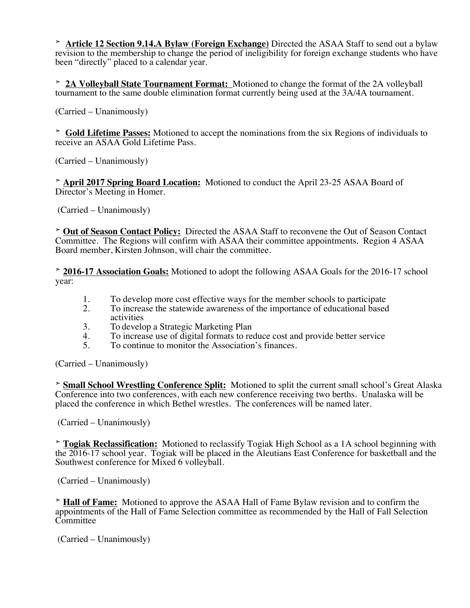➣ **Article 12 Section 9.14.A Bylaw (Foreign Exchange)** Directed the ASAA Staff to send out a bylaw revision to the membership to change the period of ineligibility for foreign exchange students who have been "directly" placed to a calendar year.

➣ **2A Volleyball State Tournament Format:** Motioned to change the format of the 2A volleyball tournament to the same double elimination format currently being used at the 3A/4A tournament.

(Carried – Unanimously)

➣ **Gold Lifetime Passes:** Motioned to accept the nominations from the six Regions of individuals to receive an ASAA Gold Lifetime Pass.

(Carried – Unanimously)

➣ **April 2017 Spring Board Location:** Motioned to conduct the April 23-25 ASAA Board of Director's Meeting in Homer.

(Carried – Unanimously)

➣ **Out of Season Contact Policy:** Directed the ASAA Staff to reconvene the Out of Season Contact Committee. The Regions will confirm with ASAA their committee appointments. Region 4 ASAA Board member, Kirsten Johnson, will chair the committee.

➣ **2016-17 Association Goals:** Motioned to adopt the following ASAA Goals for the 2016-17 school year:

- 1. To develop more cost effective ways for the member schools to participate<br>2. To increase the statewide awareness of the importance of educational based
- 2. To increase the statewide awareness of the importance of educational based activities
- 3. To develop a Strategic Marketing Plan
- 4. To increase use of digital formats to reduce cost and provide better service
- 5. To continue to monitor the Association's finances.

(Carried – Unanimously)

➣ **Small School Wrestling Conference Split:** Motioned to split the current small school's Great Alaska Conference into two conferences, with each new conference receiving two berths. Unalaska will be placed the conference in which Bethel wrestles. The conferences will be named later.

(Carried – Unanimously)

➣ **Togiak Reclassification:** Motioned to reclassify Togiak High School as a 1A school beginning with the 2016-17 school year. Togiak will be placed in the Aleutians East Conference for basketball and the Southwest conference for Mixed 6 volleyball.

(Carried – Unanimously)

➣ **Hall of Fame:** Motioned to approve the ASAA Hall of Fame Bylaw revision and to confirm the appointments of the Hall of Fame Selection committee as recommended by the Hall of Fall Selection **Committee** 

(Carried – Unanimously)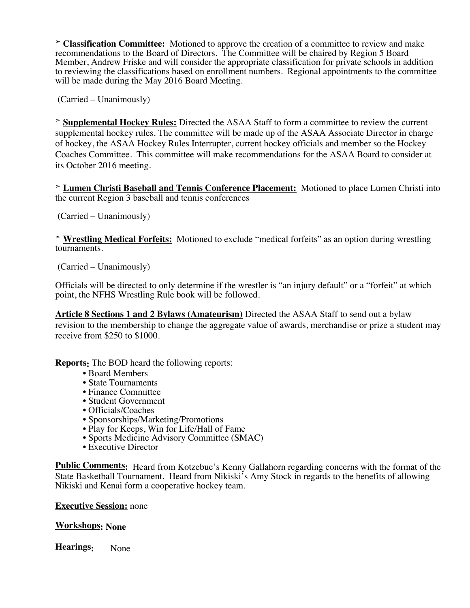➣ **Classification Committee:** Motioned to approve the creation of a committee to review and make recommendations to the Board of Directors. The Committee will be chaired by Region 5 Board Member, Andrew Friske and will consider the appropriate classification for private schools in addition to reviewing the classifications based on enrollment numbers. Regional appointments to the committee will be made during the May 2016 Board Meeting.

(Carried – Unanimously)

➣ **Supplemental Hockey Rules:** Directed the ASAA Staff to form a committee to review the current supplemental hockey rules. The committee will be made up of the ASAA Associate Director in charge of hockey, the ASAA Hockey Rules Interrupter, current hockey officials and member so the Hockey Coaches Committee. This committee will make recommendations for the ASAA Board to consider at its October 2016 meeting.

➣ **Lumen Christi Baseball and Tennis Conference Placement:** Motioned to place Lumen Christi into the current Region 3 baseball and tennis conferences

(Carried – Unanimously)

➣ **Wrestling Medical Forfeits:** Motioned to exclude "medical forfeits" as an option during wrestling tournaments.

(Carried – Unanimously)

Officials will be directed to only determine if the wrestler is "an injury default" or a "forfeit" at which point, the NFHS Wrestling Rule book will be followed.

**Article 8 Sections 1 and 2 Bylaws (Amateurism)** Directed the ASAA Staff to send out a bylaw revision to the membership to change the aggregate value of awards, merchandise or prize a student may receive from \$250 to \$1000.

**Reports:** The BOD heard the following reports:

- Board Members
- State Tournaments
- Finance Committee
- Student Government
- Officials/Coaches
- Sponsorships/Marketing/Promotions
- Play for Keeps, Win for Life/Hall of Fame
- Sports Medicine Advisory Committee (SMAC)
- Executive Director

**Public Comments:** Heard from Kotzebue's Kenny Gallahorn regarding concerns with the format of the State Basketball Tournament. Heard from Nikiski's Amy Stock in regards to the benefits of allowing Nikiski and Kenai form a cooperative hockey team.

#### **Executive Session:** none

#### **Workshops: None**

**Hearings:** None